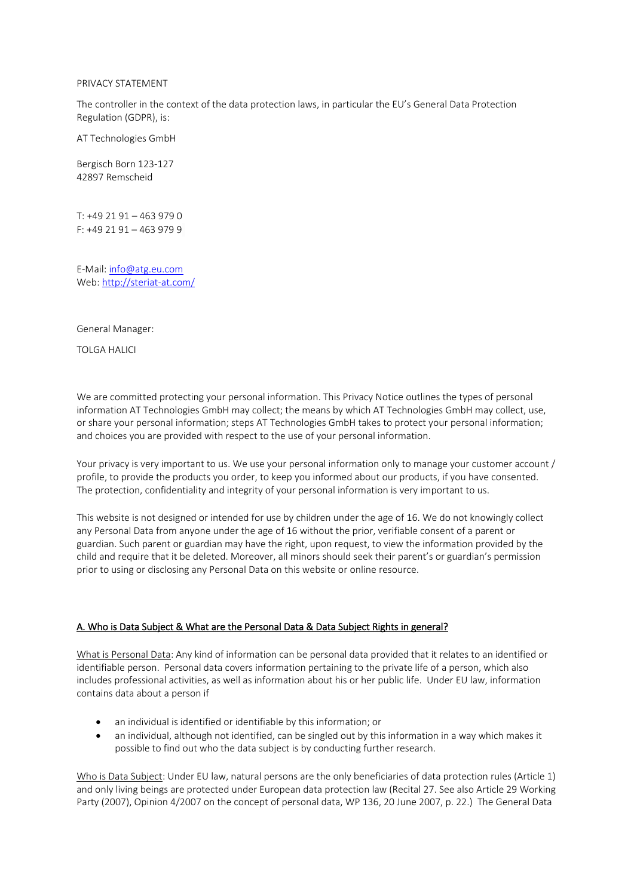#### PRIVACY STATEMENT

The controller in the context of the data protection laws, in particular the EU's General Data Protection Regulation (GDPR), is:

AT Technologies GmbH

Bergisch Born 123-127 42897 Remscheid

T: +49 21 91 – 463 979 0 F: +49 21 91 – 463 979 9

E-Mail[: info@atg.eu.com](mailto:info@atg.eu.com) Web:<http://steriat-at.com/>

General Manager:

TOLGA HALICI

We are committed protecting your personal information. This Privacy Notice outlines the types of personal information AT Technologies GmbH may collect; the means by which AT Technologies GmbH may collect, use, or share your personal information; steps AT Technologies GmbH takes to protect your personal information; and choices you are provided with respect to the use of your personal information.

Your privacy is very important to us. We use your personal information only to manage your customer account / profile, to provide the products you order, to keep you informed about our products, if you have consented. The protection, confidentiality and integrity of your personal information is very important to us.

This website is not designed or intended for use by children under the age of 16. We do not knowingly collect any Personal Data from anyone under the age of 16 without the prior, verifiable consent of a parent or guardian. Such parent or guardian may have the right, upon request, to view the information provided by the child and require that it be deleted. Moreover, all minors should seek their parent's or guardian's permission prior to using or disclosing any Personal Data on this website or online resource.

#### A. Who is Data Subject & What are the Personal Data & Data Subject Rights in general?

What is Personal Data: Any kind of information can be personal data provided that it relates to an identified or identifiable person. Personal data covers information pertaining to the private life of a person, which also includes professional activities, as well as information about his or her public life. Under EU law, information contains data about a person if

- an individual is identified or identifiable by this information; or
- an individual, although not identified, can be singled out by this information in a way which makes it possible to find out who the data subject is by conducting further research.

Who is Data Subject: Under EU law, natural persons are the only beneficiaries of data protection rules (Article 1) and only living beings are protected under European data protection law (Recital 27. See also Article 29 Working Party (2007), Opinion 4/2007 on the concept of personal data, WP 136, 20 June 2007, p. 22.) The General Data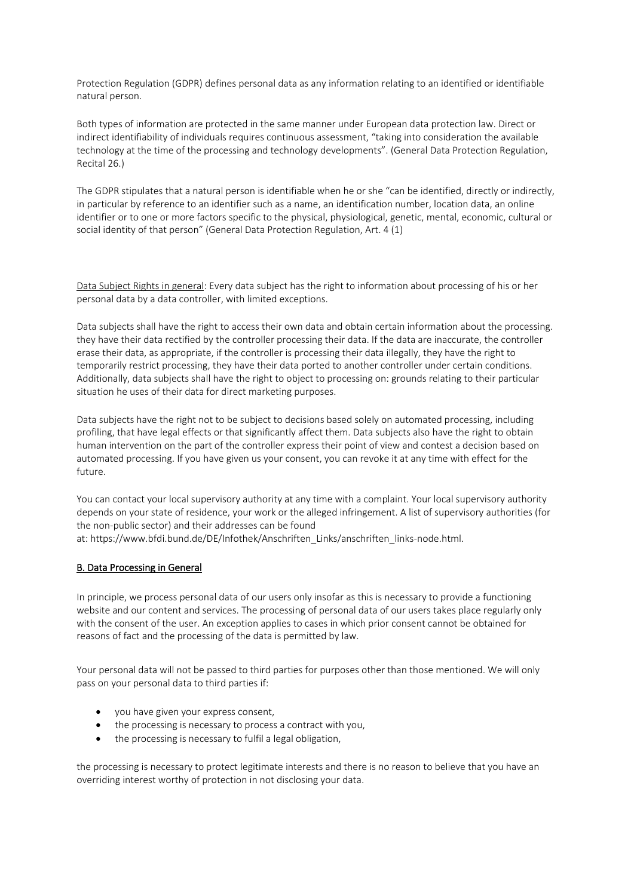Protection Regulation (GDPR) defines personal data as any information relating to an identified or identifiable natural person.

Both types of information are protected in the same manner under European data protection law. Direct or indirect identifiability of individuals requires continuous assessment, "taking into consideration the available technology at the time of the processing and technology developments". (General Data Protection Regulation, Recital 26.)

The GDPR stipulates that a natural person is identifiable when he or she "can be identified, directly or indirectly, in particular by reference to an identifier such as a name, an identification number, location data, an online identifier or to one or more factors specific to the physical, physiological, genetic, mental, economic, cultural or social identity of that person" (General Data Protection Regulation, Art. 4 (1)

Data Subject Rights in general: Every data subject has the right to information about processing of his or her personal data by a data controller, with limited exceptions.

Data subjects shall have the right to access their own data and obtain certain information about the processing. they have their data rectified by the controller processing their data. If the data are inaccurate, the controller erase their data, as appropriate, if the controller is processing their data illegally, they have the right to temporarily restrict processing, they have their data ported to another controller under certain conditions. Additionally, data subjects shall have the right to object to processing on: grounds relating to their particular situation he uses of their data for direct marketing purposes.

Data subjects have the right not to be subject to decisions based solely on automated processing, including profiling, that have legal effects or that significantly affect them. Data subjects also have the right to obtain human intervention on the part of the controller express their point of view and contest a decision based on automated processing. If you have given us your consent, you can revoke it at any time with effect for the future.

You can contact your local supervisory authority at any time with a complaint. Your local supervisory authority depends on your state of residence, your work or the alleged infringement. A list of supervisory authorities (for the non-public sector) and their addresses can be found at: [https://www.bfdi.bund.de/DE/Infothek/Anschriften\\_Links/anschriften\\_links-node.html.](https://www.bfdi.bund.de/DE/Infothek/Anschriften_Links/anschriften_links-node.html)

# B. Data Processing in General

In principle, we process personal data of our users only insofar as this is necessary to provide a functioning website and our content and services. The processing of personal data of our users takes place regularly only with the consent of the user. An exception applies to cases in which prior consent cannot be obtained for reasons of fact and the processing of the data is permitted by law.

Your personal data will not be passed to third parties for purposes other than those mentioned. We will only pass on your personal data to third parties if:

- you have given your express consent,
- the processing is necessary to process a contract with you,
- the processing is necessary to fulfil a legal obligation,

the processing is necessary to protect legitimate interests and there is no reason to believe that you have an overriding interest worthy of protection in not disclosing your data.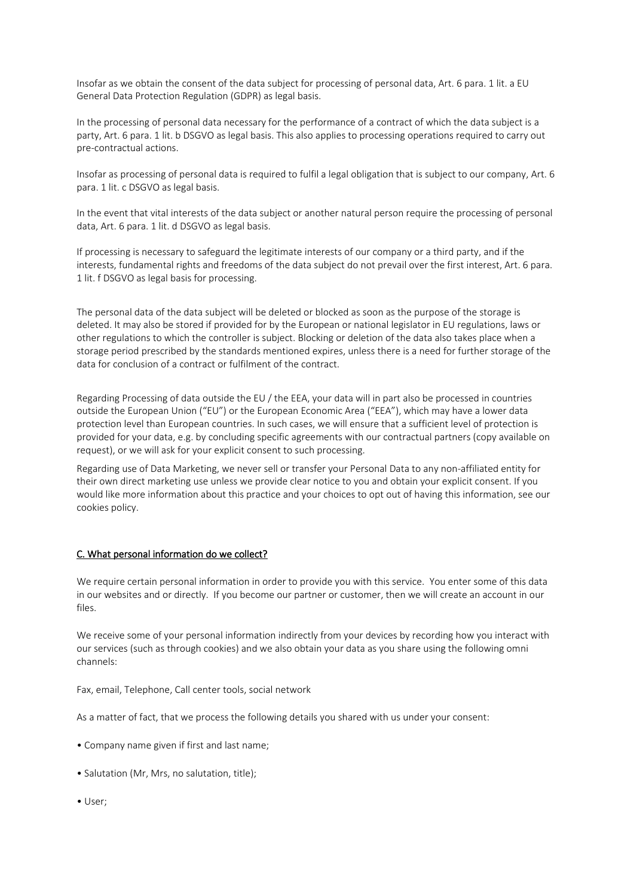Insofar as we obtain the consent of the data subject for processing of personal data, Art. 6 para. 1 lit. a EU General Data Protection Regulation (GDPR) as legal basis.

In the processing of personal data necessary for the performance of a contract of which the data subject is a party, Art. 6 para. 1 lit. b DSGVO as legal basis. This also applies to processing operations required to carry out pre-contractual actions.

Insofar as processing of personal data is required to fulfil a legal obligation that is subject to our company, Art. 6 para. 1 lit. c DSGVO as legal basis.

In the event that vital interests of the data subject or another natural person require the processing of personal data, Art. 6 para. 1 lit. d DSGVO as legal basis.

If processing is necessary to safeguard the legitimate interests of our company or a third party, and if the interests, fundamental rights and freedoms of the data subject do not prevail over the first interest, Art. 6 para. 1 lit. f DSGVO as legal basis for processing.

The personal data of the data subject will be deleted or blocked as soon as the purpose of the storage is deleted. It may also be stored if provided for by the European or national legislator in EU regulations, laws or other regulations to which the controller is subject. Blocking or deletion of the data also takes place when a storage period prescribed by the standards mentioned expires, unless there is a need for further storage of the data for conclusion of a contract or fulfilment of the contract.

Regarding Processing of data outside the EU / the EEA, your data will in part also be processed in countries outside the European Union ("EU") or the European Economic Area ("EEA"), which may have a lower data protection level than European countries. In such cases, we will ensure that a sufficient level of protection is provided for your data, e.g. by concluding specific agreements with our contractual partners (copy available on request), or we will ask for your explicit consent to such processing.

Regarding use of Data Marketing, we never sell or transfer your Personal Data to any non-affiliated entity for their own direct marketing use unless we provide clear notice to you and obtain your explicit consent. If you would like more information about this practice and your choices to opt out of having this information, see our cookies policy.

# C. What personal information do we collect?

We require certain personal information in order to provide you with this service. You enter some of this data in our websites and or directly. If you become our partner or customer, then we will create an account in our files.

We receive some of your personal information indirectly from your devices by recording how you interact with our services (such as through cookies) and we also obtain your data as you share using the following omni channels:

Fax, email, Telephone, Call center tools, social network

As a matter of fact, that we process the following details you shared with us under your consent:

- Company name given if first and last name;
- Salutation (Mr, Mrs, no salutation, title);
- User;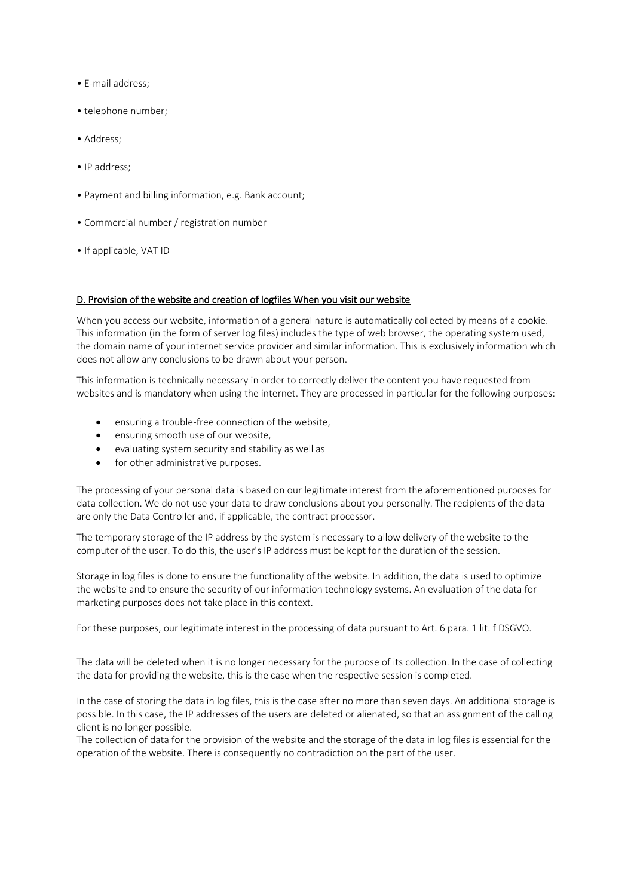- E-mail address;
- telephone number;
- Address;
- IP address;
- Payment and billing information, e.g. Bank account;
- Commercial number / registration number
- If applicable, VAT ID

### D. Provision of the website and creation of logfiles When you visit our website

When you access our website, information of a general nature is automatically collected by means of a cookie. This information (in the form of server log files) includes the type of web browser, the operating system used, the domain name of your internet service provider and similar information. This is exclusively information which does not allow any conclusions to be drawn about your person.

This information is technically necessary in order to correctly deliver the content you have requested from websites and is mandatory when using the internet. They are processed in particular for the following purposes:

- ensuring a trouble-free connection of the website,
- ensuring smooth use of our website,
- evaluating system security and stability as well as
- for other administrative purposes.

The processing of your personal data is based on our legitimate interest from the aforementioned purposes for data collection. We do not use your data to draw conclusions about you personally. The recipients of the data are only the Data Controller and, if applicable, the contract processor.

The temporary storage of the IP address by the system is necessary to allow delivery of the website to the computer of the user. To do this, the user's IP address must be kept for the duration of the session.

Storage in log files is done to ensure the functionality of the website. In addition, the data is used to optimize the website and to ensure the security of our information technology systems. An evaluation of the data for marketing purposes does not take place in this context.

For these purposes, our legitimate interest in the processing of data pursuant to Art. 6 para. 1 lit. f DSGVO.

The data will be deleted when it is no longer necessary for the purpose of its collection. In the case of collecting the data for providing the website, this is the case when the respective session is completed.

In the case of storing the data in log files, this is the case after no more than seven days. An additional storage is possible. In this case, the IP addresses of the users are deleted or alienated, so that an assignment of the calling client is no longer possible.

The collection of data for the provision of the website and the storage of the data in log files is essential for the operation of the website. There is consequently no contradiction on the part of the user.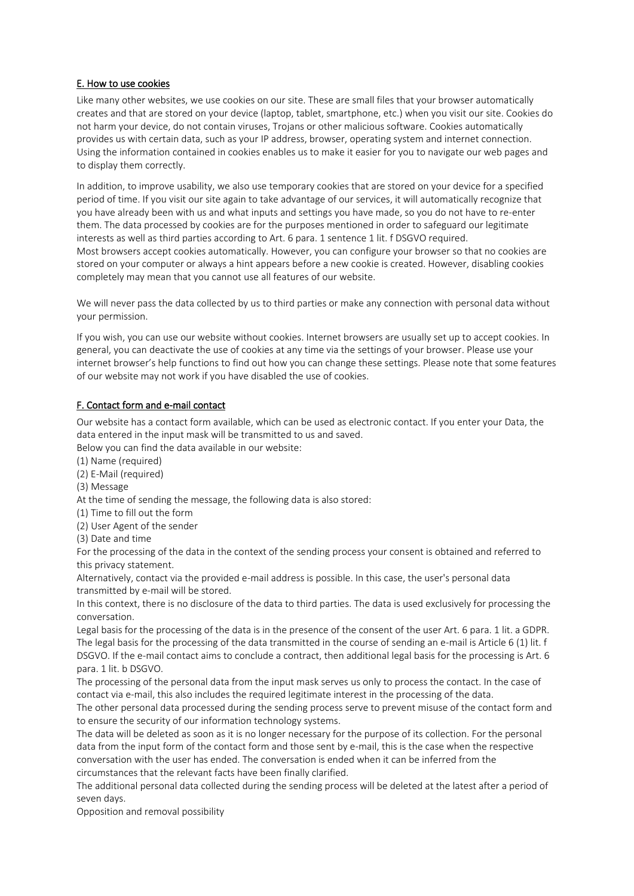## E. How to use cookies

Like many other websites, we use cookies on our site. These are small files that your browser automatically creates and that are stored on your device (laptop, tablet, smartphone, etc.) when you visit our site. Cookies do not harm your device, do not contain viruses, Trojans or other malicious software. Cookies automatically provides us with certain data, such as your IP address, browser, operating system and internet connection. Using the information contained in cookies enables us to make it easier for you to navigate our web pages and to display them correctly.

In addition, to improve usability, we also use temporary cookies that are stored on your device for a specified period of time. If you visit our site again to take advantage of our services, it will automatically recognize that you have already been with us and what inputs and settings you have made, so you do not have to re-enter them. The data processed by cookies are for the purposes mentioned in order to safeguard our legitimate interests as well as third parties according to Art. 6 para. 1 sentence 1 lit. f DSGVO required. Most browsers accept cookies automatically. However, you can configure your browser so that no cookies are stored on your computer or always a hint appears before a new cookie is created. However, disabling cookies completely may mean that you cannot use all features of our website.

We will never pass the data collected by us to third parties or make any connection with personal data without your permission.

If you wish, you can use our website without cookies. Internet browsers are usually set up to accept cookies. In general, you can deactivate the use of cookies at any time via the settings of your browser. Please use your internet browser's help functions to find out how you can change these settings. Please note that some features of our website may not work if you have disabled the use of cookies.

# F. Contact form and e-mail contact

Our website has a contact form available, which can be used as electronic contact. If you enter your Data, the data entered in the input mask will be transmitted to us and saved.

Below you can find the data available in our website:

(1) Name (required)

(2) E-Mail (required)

(3) Message

At the time of sending the message, the following data is also stored:

(1) Time to fill out the form

(2) User Agent of the sender

(3) Date and time

For the processing of the data in the context of the sending process your consent is obtained and referred to this privacy statement.

Alternatively, contact via the provided e-mail address is possible. In this case, the user's personal data transmitted by e-mail will be stored.

In this context, there is no disclosure of the data to third parties. The data is used exclusively for processing the conversation.

Legal basis for the processing of the data is in the presence of the consent of the user Art. 6 para. 1 lit. a GDPR. The legal basis for the processing of the data transmitted in the course of sending an e-mail is Article 6 (1) lit. f DSGVO. If the e-mail contact aims to conclude a contract, then additional legal basis for the processing is Art. 6 para. 1 lit. b DSGVO.

The processing of the personal data from the input mask serves us only to process the contact. In the case of contact via e-mail, this also includes the required legitimate interest in the processing of the data.

The other personal data processed during the sending process serve to prevent misuse of the contact form and to ensure the security of our information technology systems.

The data will be deleted as soon as it is no longer necessary for the purpose of its collection. For the personal data from the input form of the contact form and those sent by e-mail, this is the case when the respective conversation with the user has ended. The conversation is ended when it can be inferred from the circumstances that the relevant facts have been finally clarified.

The additional personal data collected during the sending process will be deleted at the latest after a period of seven days.

Opposition and removal possibility